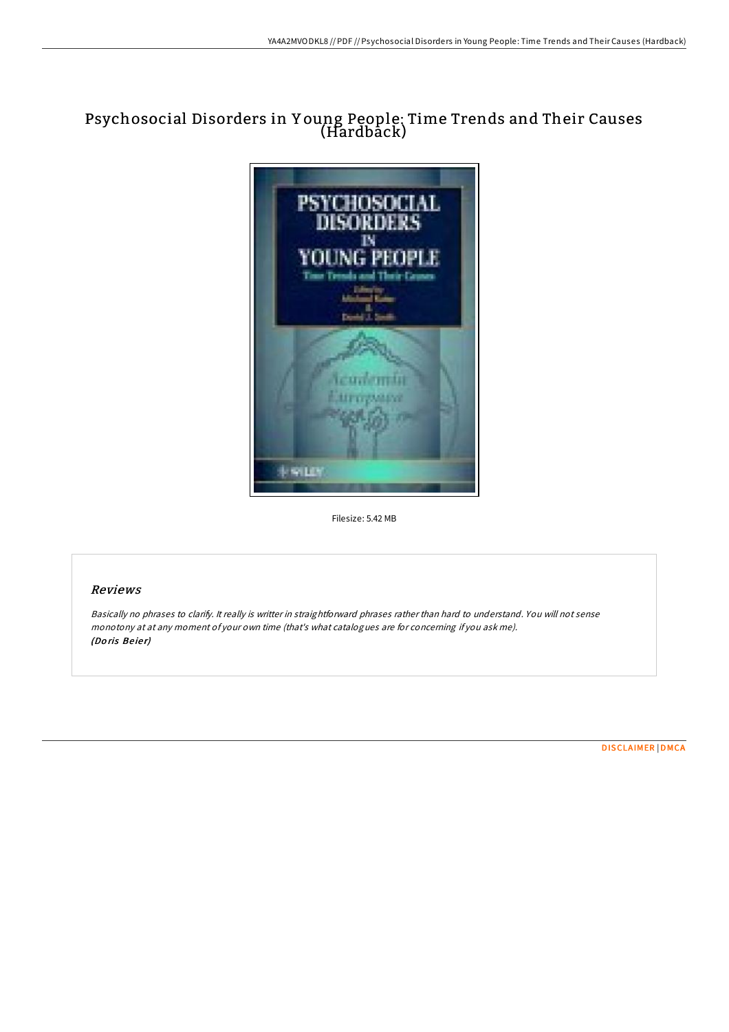## Psychosocial Disorders in Y oung People: Time Trends and Their Causes (Hardback)



Filesize: 5.42 MB

## Reviews

Basically no phrases to clarify. It really is writter in straightforward phrases rather than hard to understand. You will not sense monotony at at any moment of your own time (that's what catalogues are for concerning if you ask me). (Do ris Be ie r)

[DISCLAIMER](http://almighty24.tech/disclaimer.html) | [DMCA](http://almighty24.tech/dmca.html)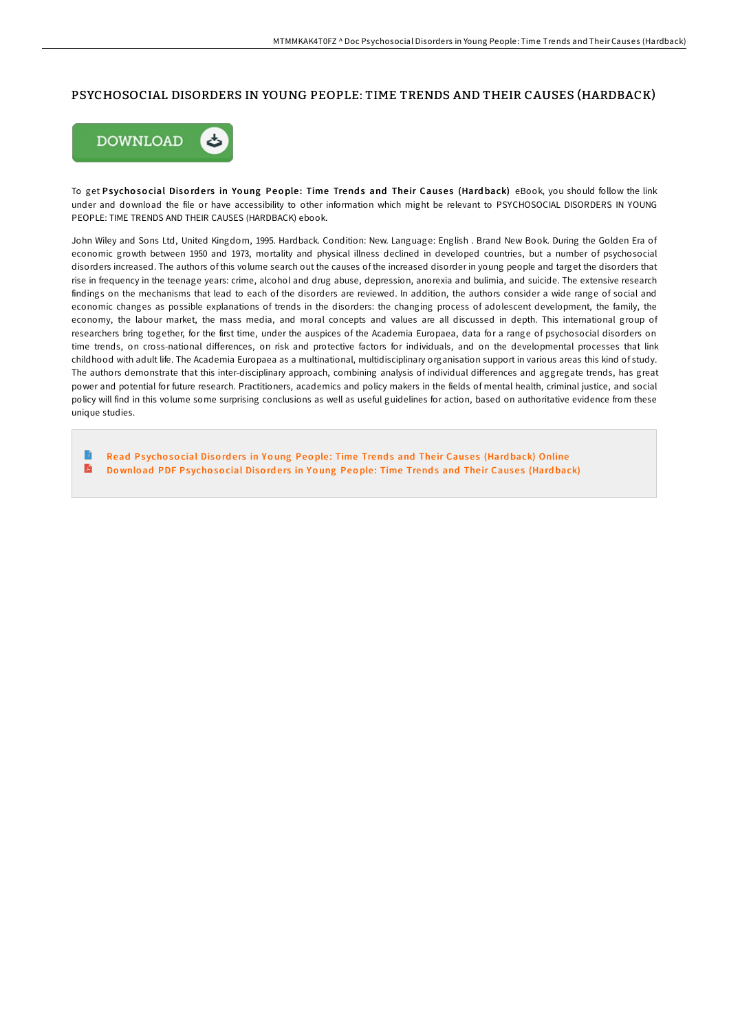## PSYCHOSOCIAL DISORDERS IN YOUNG PEOPLE: TIME TRENDS AND THEIR CAUSES (HARDBACK)



To get Psychosocial Disorders in Young People: Time Trends and Their Causes (Hardback) eBook, you should follow the link under and download the file or have accessibility to other information which might be relevant to PSYCHOSOCIAL DISORDERS IN YOUNG PEOPLE: TIME TRENDS AND THEIR CAUSES (HARDBACK) ebook.

John Wiley and Sons Ltd, United Kingdom, 1995. Hardback. Condition: New. Language: English . Brand New Book. During the Golden Era of economic growth between 1950 and 1973, mortality and physical illness declined in developed countries, but a number of psychosocial disorders increased. The authors of this volume search out the causes of the increased disorder in young people and target the disorders that rise in frequency in the teenage years: crime, alcohol and drug abuse, depression, anorexia and bulimia, and suicide. The extensive research findings on the mechanisms that lead to each of the disorders are reviewed. In addition, the authors consider a wide range of social and economic changes as possible explanations of trends in the disorders: the changing process of adolescent development, the family, the economy, the labour market, the mass media, and moral concepts and values are all discussed in depth. This international group of researchers bring together, for the first time, under the auspices of the Academia Europaea, data for a range of psychosocial disorders on time trends, on cross-national diFerences, on risk and protective factors for individuals, and on the developmental processes that link childhood with adult life. The Academia Europaea as a multinational, multidisciplinary organisation support in various areas this kind of study. The authors demonstrate that this inter-disciplinary approach, combining analysis of individual diFerences and aggregate trends, has great power and potential for future research. Practitioners, academics and policy makers in the fields of mental health, criminal justice, and social policy will find in this volume some surprising conclusions as well as useful guidelines for action, based on authoritative evidence from these unique studies.

B Read Psychosocial Disorders in Young People: Time Trends and Their Causes (Hardback) [Online](http://almighty24.tech/psychosocial-disorders-in-young-people-time-tren.html)  $\mathbf{E}$ Download PDF Psychosocial Disorders in Young People: Time Trends and Their [Cause](http://almighty24.tech/psychosocial-disorders-in-young-people-time-tren.html)s (Hardback)